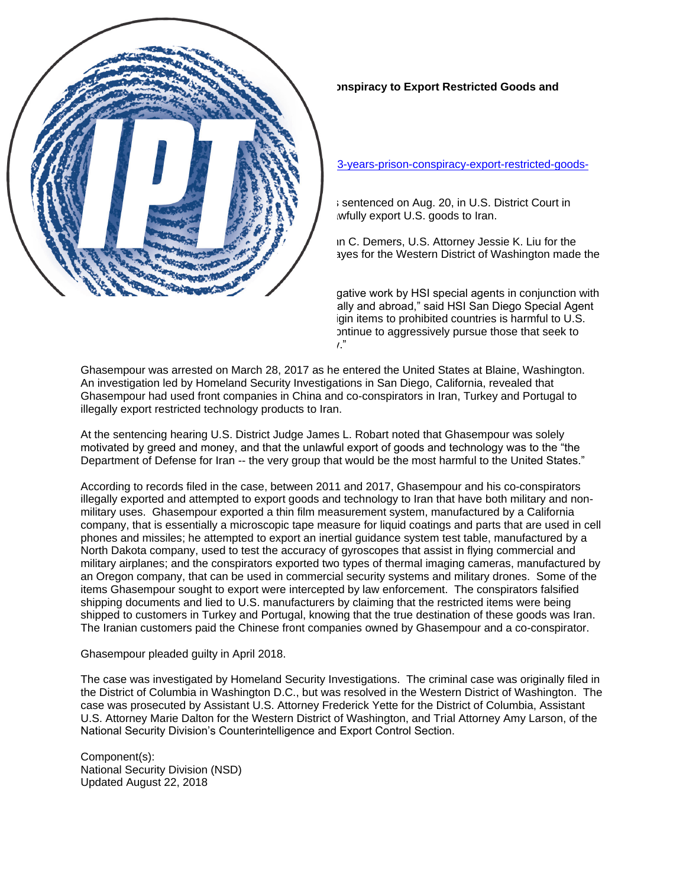## **Canadian Sentenced to 3+ Years in Prison for Conspiracy to Export Restricted Goods and Technology to Iran**

Department of Justice, Office of Public Affairs Wednesday, August 22, 2018

[https://www.justice.gov/opa/pr/canadian-sentenced-3-years-prison-conspiracy-export-restricted-goods](https://www.justice.gov/opa/pr/canadian-sentenced-3-years-prison-conspiracy-export-restricted-goods-and-technology-iran)[and-technology-iran](https://www.justice.gov/opa/pr/canadian-sentenced-3-years-prison-conspiracy-export-restricted-goods-and-technology-iran)

Ghobad Ghasempour, 38, a Canadian national, was sentenced on Aug. 20, in U.S. District Court in Seattle to 42 months in prison for conspiracy to unlawfully export U.S. goods to Iran.

Assistant Attorney General for National Security John C. Demers, U.S. Attorney Jessie K. Liu for the District of Columbia and U.S. Attorney Annette L. Hayes for the Western District of Washington made the announcement.

"This sentencing exemplifies the outstanding investigative work by HSI special agents in conjunction with other law enforcement and government partners locally and abroad," said HSI San Diego Special Agent in Charge Dave Shaw. "The illegal export of U.S.-origin items to prohibited countries is harmful to U.S. national security and will not be tolerated. HSI will continue to aggressively pursue those that seek to violate these laws and jeopardize our nation's safety."

Ghasempour was arrested on March 28, 2017 as he entered the United States at Blaine, Washington. An investigation led by Homeland Security Investigations in San Diego, California, revealed that Ghasempour had used front companies in China and co-conspirators in Iran, Turkey and Portugal to illegally export restricted technology products to Iran.

At the sentencing hearing U.S. District Judge James L. Robart noted that Ghasempour was solely motivated by greed and money, and that the unlawful export of goods and technology was to the "the Department of Defense for Iran -- the very group that would be the most harmful to the United States."

According to records filed in the case, between 2011 and 2017, Ghasempour and his co-conspirators illegally exported and attempted to export goods and technology to Iran that have both military and nonmilitary uses. Ghasempour exported a thin film measurement system, manufactured by a California company, that is essentially a microscopic tape measure for liquid coatings and parts that are used in cell phones and missiles; he attempted to export an inertial guidance system test table, manufactured by a North Dakota company, used to test the accuracy of gyroscopes that assist in flying commercial and military airplanes; and the conspirators exported two types of thermal imaging cameras, manufactured by an Oregon company, that can be used in commercial security systems and military drones. Some of the items Ghasempour sought to export were intercepted by law enforcement. The conspirators falsified shipping documents and lied to U.S. manufacturers by claiming that the restricted items were being shipped to customers in Turkey and Portugal, knowing that the true destination of these goods was Iran. The Iranian customers paid the Chinese front companies owned by Ghasempour and a co-conspirator.

## Ghasempour pleaded guilty in April 2018.

The case was investigated by Homeland Security Investigations. The criminal case was originally filed in the District of Columbia in Washington D.C., but was resolved in the Western District of Washington. The case was prosecuted by Assistant U.S. Attorney Frederick Yette for the District of Columbia, Assistant U.S. Attorney Marie Dalton for the Western District of Washington, and Trial Attorney Amy Larson, of the National Security Division's Counterintelligence and Export Control Section.

Component(s): National Security Division (NSD) Updated August 22, 2018